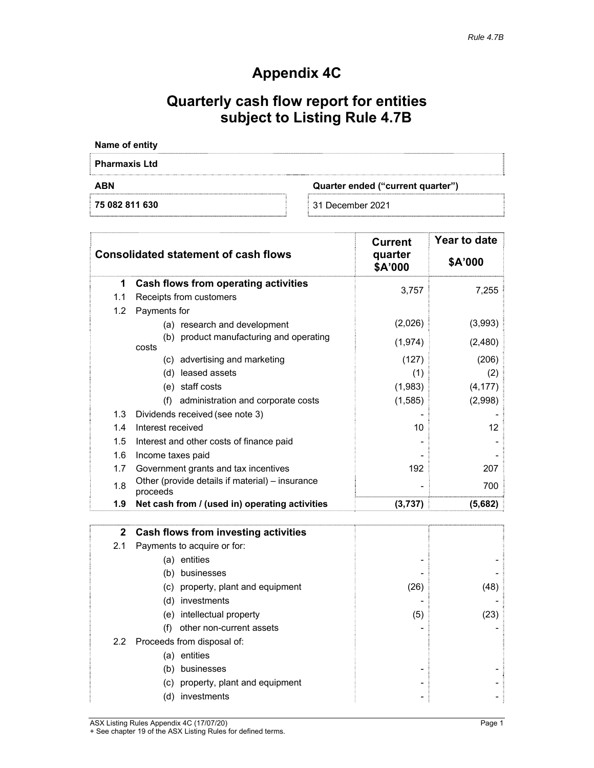## **Appendix 4C**

## **Quarterly cash flow report for entities subject to Listing Rule 4.7B**

| Name of entity                                  |                  |  |
|-------------------------------------------------|------------------|--|
| <b>Pharmaxis Ltd</b>                            |                  |  |
| <b>ABN</b><br>Quarter ended ("current quarter") |                  |  |
| 75 082 811 630                                  | 31 December 2021 |  |

|         | <b>Consolidated statement of cash flows</b>                 | <b>Current</b><br>quarter<br>\$A'000 | Year to date<br>\$A'000 |
|---------|-------------------------------------------------------------|--------------------------------------|-------------------------|
| 1       | Cash flows from operating activities                        | 3,757                                | 7,255                   |
| 1.1     | Receipts from customers                                     |                                      |                         |
| 1.2     | Payments for                                                |                                      |                         |
|         | (a) research and development                                | (2,026)                              | (3,993)                 |
|         | (b) product manufacturing and operating<br>costs            | (1, 974)                             | (2,480)                 |
|         | (c) advertising and marketing                               | (127)                                | (206)                   |
|         | leased assets<br>(d)                                        | (1)                                  | (2)                     |
|         | (e) staff costs                                             | (1,983)                              | (4, 177)                |
|         | administration and corporate costs<br>(f)                   | (1, 585)                             | (2,998)                 |
| 1.3     | Dividends received (see note 3)                             |                                      |                         |
| 1.4     | Interest received                                           | 10                                   | 12                      |
| $1.5\,$ | Interest and other costs of finance paid                    |                                      |                         |
| 1.6     | Income taxes paid                                           |                                      |                         |
| 1.7     | Government grants and tax incentives                        | 192                                  | 207                     |
| 1.8     | Other (provide details if material) - insurance<br>proceeds |                                      | 700                     |
| 1.9     | Net cash from / (used in) operating activities              | (3,737)                              | (5,682)                 |

|               | 2 Cash flows from investing activities |      |      |
|---------------|----------------------------------------|------|------|
| 2.1           | Payments to acquire or for:            |      |      |
|               | entities<br>(a)                        |      |      |
|               | businesses<br>(b)                      |      |      |
|               | (c) property, plant and equipment      | (26) | (48) |
|               | (d) investments                        |      |      |
|               | (e) intellectual property              | (5)  | (23) |
|               | other non-current assets<br>(f)        |      |      |
| $2.2^{\circ}$ | Proceeds from disposal of:             |      |      |
|               | entities<br>(a)                        |      |      |
|               | businesses<br>(b)                      |      |      |
|               | (c) property, plant and equipment      |      |      |
|               | investments<br>(d'                     |      |      |

ASX Listing Rules Appendix 4C (17/07/20) example of the control of the Page 1

+ See chapter 19 of the ASX Listing Rules for defined terms.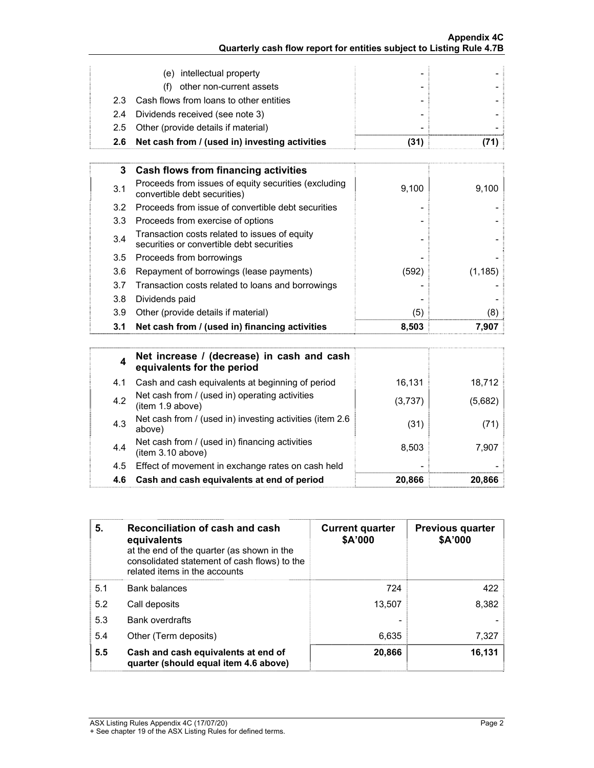| 2.6 | Net cash from / (used in) investing activities | (31) |  |
|-----|------------------------------------------------|------|--|
|     | 2.5 Other (provide details if material)        | -    |  |
|     | 2.4 Dividends received (see note 3)            |      |  |
|     | 2.3 Cash flows from loans to other entities    |      |  |
|     | other non-current assets<br>(1)                |      |  |
|     | (e) intellectual property                      |      |  |

| 3   | Cash flows from financing activities                                                       |       |         |
|-----|--------------------------------------------------------------------------------------------|-------|---------|
| 3.1 | Proceeds from issues of equity securities (excluding<br>convertible debt securities)       | 9,100 | 9,100   |
| 3.2 | Proceeds from issue of convertible debt securities                                         |       |         |
| 3.3 | Proceeds from exercise of options                                                          |       |         |
| 3.4 | Transaction costs related to issues of equity<br>securities or convertible debt securities |       |         |
| 3.5 | Proceeds from borrowings                                                                   |       |         |
| 3.6 | Repayment of borrowings (lease payments)                                                   | (592) | (1.185) |
| 3.7 | Transaction costs related to loans and borrowings                                          |       |         |
| 3.8 | Dividends paid                                                                             |       |         |
| 3.9 | Other (provide details if material)                                                        | (5)   | (8)     |
| 3.1 | Net cash from / (used in) financing activities                                             | 8,503 | 7.907   |

| 4   | Net increase / (decrease) in cash and cash<br>equivalents for the period |         |         |
|-----|--------------------------------------------------------------------------|---------|---------|
| 4.1 | Cash and cash equivalents at beginning of period                         | 16,131  | 18,712  |
| 4.2 | Net cash from / (used in) operating activities<br>(item 1.9 above)       | (3,737) | (5,682) |
| 4.3 | Net cash from / (used in) investing activities (item 2.6<br>above)       | (31)    | (71)    |
| 4.4 | Net cash from / (used in) financing activities<br>(item 3.10 above)      | 8,503   | 7.907   |
| 4.5 | Effect of movement in exchange rates on cash held                        |         |         |
| 4.6 | Cash and cash equivalents at end of period                               | 20,866  | 20,866  |

| 5.  | Reconciliation of cash and cash<br>equivalents<br>at the end of the quarter (as shown in the<br>consolidated statement of cash flows) to the<br>related items in the accounts | <b>Current quarter</b><br>\$A'000 | <b>Previous quarter</b><br>\$A'000 |
|-----|-------------------------------------------------------------------------------------------------------------------------------------------------------------------------------|-----------------------------------|------------------------------------|
| 5.1 | <b>Bank balances</b>                                                                                                                                                          | 724                               | 422                                |
| 5.2 | Call deposits                                                                                                                                                                 | 13.507                            | 8,382                              |
| 5.3 | Bank overdrafts                                                                                                                                                               |                                   |                                    |
| 5.4 | Other (Term deposits)                                                                                                                                                         | 6,635                             | 7,327                              |
| 5.5 | Cash and cash equivalents at end of<br>quarter (should equal item 4.6 above)                                                                                                  | 20,866                            | 16,131                             |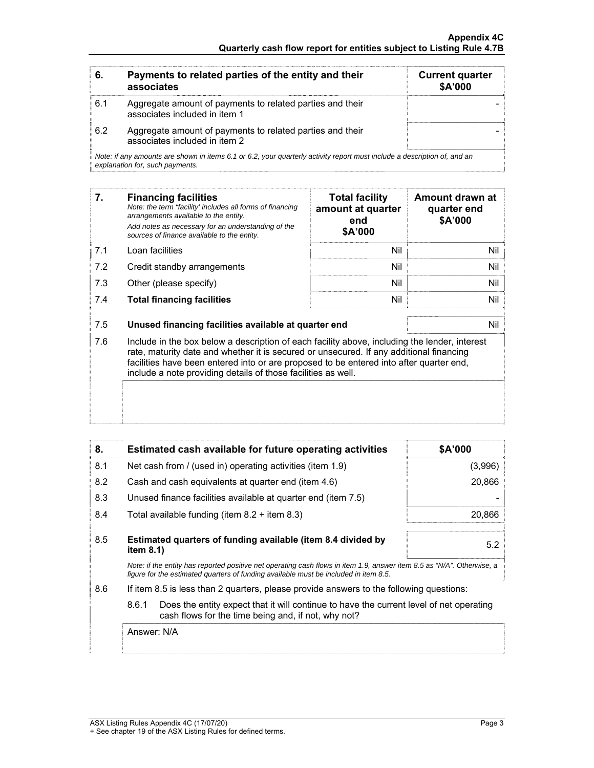| 6.  | Payments to related parties of the entity and their<br>associates                                                                                           | <b>Current quarter</b><br>\$A'000 |
|-----|-------------------------------------------------------------------------------------------------------------------------------------------------------------|-----------------------------------|
| 6.1 | Aggregate amount of payments to related parties and their<br>associates included in item 1                                                                  |                                   |
| 6.2 | Aggregate amount of payments to related parties and their<br>associates included in item 2                                                                  |                                   |
|     | Note: if any amounts are shown in items 6.1 or 6.2, your quarterly activity report must include a description of, and an<br>explanation for, such payments. |                                   |

| 7.  | <b>Financing facilities</b><br>Note: the term "facility' includes all forms of financing<br>arrangements available to the entity.<br>Add notes as necessary for an understanding of the<br>sources of finance available to the entity. | <b>Total facility</b><br>amount at quarter<br>end<br>\$A'000 | Amount drawn at<br>quarter end<br>\$A'000 |
|-----|----------------------------------------------------------------------------------------------------------------------------------------------------------------------------------------------------------------------------------------|--------------------------------------------------------------|-------------------------------------------|
| 7.1 | Loan facilities                                                                                                                                                                                                                        | Nil                                                          | Nil i                                     |
| 7.2 | Credit standby arrangements                                                                                                                                                                                                            | Nil                                                          | Nil 1                                     |
| 7.3 | Other (please specify)                                                                                                                                                                                                                 | Nil                                                          | Nil                                       |
| 7.4 | <b>Total financing facilities</b>                                                                                                                                                                                                      | Nil                                                          | Nil                                       |
| 7.5 | Unused financing facilities available at quarter end                                                                                                                                                                                   |                                                              | Nil i                                     |

7.6 Include in the box below a description of each facility above, including the lender, interest rate, maturity date and whether it is secured or unsecured. If any additional financing facilities have been entered into or are proposed to be entered into after quarter end, include a note providing details of those facilities as well.

| 8.  | Estimated cash available for future operating activities                                                                                                                                                       | \$A'000 |
|-----|----------------------------------------------------------------------------------------------------------------------------------------------------------------------------------------------------------------|---------|
| 8.1 | Net cash from / (used in) operating activities (item 1.9)                                                                                                                                                      | (3,996) |
| 8.2 | Cash and cash equivalents at quarter end (item 4.6)                                                                                                                                                            | 20,866  |
| 8.3 | Unused finance facilities available at quarter end (item 7.5)                                                                                                                                                  |         |
| 8.4 | Total available funding (item $8.2 +$ item $8.3$ )                                                                                                                                                             | 20,866  |
| 8.5 | Estimated quarters of funding available (item 8.4 divided by<br>item $8.1$ )                                                                                                                                   | 5.2     |
|     | Note: if the entity has reported positive net operating cash flows in item 1.9, answer item 8.5 as "N/A". Otherwise, a<br>figure for the estimated quarters of funding available must be included in item 8.5. |         |
| 8.6 | If item 8.5 is less than 2 quarters, please provide answers to the following questions:                                                                                                                        |         |
|     | 8.6.1<br>Does the entity expect that it will continue to have the current level of net operating<br>cash flows for the time being and, if not, why not?                                                        |         |

Answer: N/A